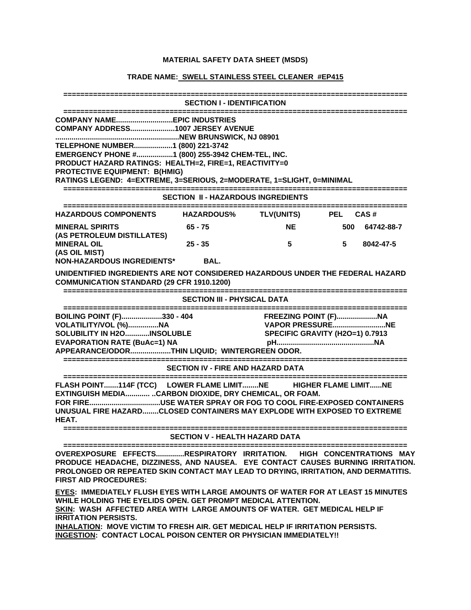## **MATERIAL SAFETY DATA SHEET (MSDS)**

## **TRADE NAME: SWELL STAINLESS STEEL CLEANER #EP415**

| <b>SECTION I - IDENTIFICATION</b>                                                                                                                                                                                                                                                                    |           |                     |                                                                                           |            |  |  |
|------------------------------------------------------------------------------------------------------------------------------------------------------------------------------------------------------------------------------------------------------------------------------------------------------|-----------|---------------------|-------------------------------------------------------------------------------------------|------------|--|--|
| COMPANY ADDRESS1007 JERSEY AVENUE<br>TELEPHONE NUMBER1 (800) 221-3742<br>EMERGENCY PHONE #1 (800) 255-3942 CHEM-TEL, INC.<br>PRODUCT HAZARD RATINGS: HEALTH=2, FIRE=1, REACTIVITY=0<br><b>PROTECTIVE EQUIPMENT: B(HMIG)</b><br>RATINGS LEGEND: 4=EXTREME, 3=SERIOUS, 2=MODERATE, 1=SLIGHT, 0=MINIMAL |           |                     |                                                                                           |            |  |  |
| <b>SECTION II - HAZARDOUS INGREDIENTS</b>                                                                                                                                                                                                                                                            |           |                     |                                                                                           |            |  |  |
| HAZARDOUS COMPONENTS HAZARDOUS%                                                                                                                                                                                                                                                                      |           | TLV(UNITS) PEL CAS# |                                                                                           |            |  |  |
| <b>MINERAL SPIRITS</b><br>(AS PETROLEUM DISTILLATES)<br><b>MINERAL OIL</b><br>(AS OIL MIST)                                                                                                                                                                                                          | 65 - 75   | <b>NE</b>           | 500                                                                                       | 64742-88-7 |  |  |
|                                                                                                                                                                                                                                                                                                      | $25 - 35$ | 5                   | 5                                                                                         | 8042-47-5  |  |  |
| NON-HAZARDOUS INGREDIENTS*                                                                                                                                                                                                                                                                           | BAL.      |                     |                                                                                           |            |  |  |
| UNIDENTIFIED INGREDIENTS ARE NOT CONSIDERED HAZARDOUS UNDER THE FEDERAL HAZARD<br><b>COMMUNICATION STANDARD (29 CFR 1910.1200)</b>                                                                                                                                                                   |           |                     |                                                                                           |            |  |  |
| <b>SECTION III - PHYSICAL DATA</b>                                                                                                                                                                                                                                                                   |           |                     |                                                                                           |            |  |  |
| BOILING POINT (F)330 - 404<br>VOLATILITY/VOL (%)NA<br>SOLUBILITY IN H2O INSOLUBLE<br><b>EVAPORATION RATE (BuAc=1) NA</b><br>APPEARANCE/ODORTHIN LIQUID; WINTERGREEN ODOR.                                                                                                                            |           |                     | <b>FREEZING POINT (F)NA</b><br><b>VAPOR PRESSURENE</b><br>SPECIFIC GRAVITY (H2O=1) 0.7913 |            |  |  |
| -----------------------------<br><b>SECTION IV - FIRE AND HAZARD DATA</b>                                                                                                                                                                                                                            |           |                     |                                                                                           |            |  |  |
| FLASH POINT114F (TCC) LOWER FLAME LIMITNE HIGHER FLAME LIMITNE<br>EXTINGUISH MEDIACARBON DIOXIDE, DRY CHEMICAL, OR FOAM.<br>FOR FIREUSE WATER SPRAY OR FOG TO COOL FIRE-EXPOSED CONTAINERS<br>UNUSUAL FIRE HAZARDCLOSED CONTAINERS MAY EXPLODE WITH EXPOSED TO EXTREME<br>HEAT.                      |           |                     |                                                                                           |            |  |  |
| <b>SECTION V - HEALTH HAZARD DATA</b>                                                                                                                                                                                                                                                                |           |                     |                                                                                           |            |  |  |
| OVEREXPOSURE EFFECTSRESPIRATORY IRRITATION. HIGH CONCENTRATIONS MAY<br>PRODUCE HEADACHE, DIZZINESS, AND NAUSEA. EYE CONTACT CAUSES BURNING IRRITATION.<br>PROLONGED OR REPEATED SKIN CONTACT MAY LEAD TO DRYING, IRRITATION, AND DERMATITIS.<br><b>FIRST AID PROCEDURES:</b>                         |           |                     |                                                                                           |            |  |  |
| EYES: IMMEDIATELY FLUSH EYES WITH LARGE AMOUNTS OF WATER FOR AT LEAST 15 MINUTES<br>WHILE HOLDING THE EYELIDS OPEN. GET PROMPT MEDICAL ATTENTION.                                                                                                                                                    |           |                     |                                                                                           |            |  |  |

**SKIN: WASH AFFECTED AREA WITH LARGE AMOUNTS OF WATER. GET MEDICAL HELP IF IRRITATION PERSISTS.** 

**INHALATION: MOVE VICTIM TO FRESH AIR. GET MEDICAL HELP IF IRRITATION PERSISTS. INGESTION: CONTACT LOCAL POISON CENTER OR PHYSICIAN IMMEDIATELY!!**